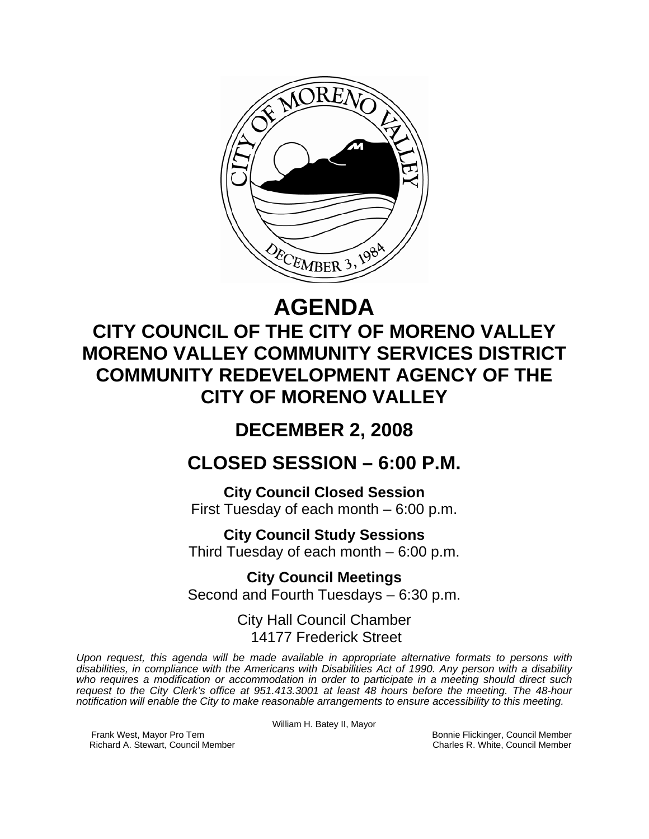

# **AGENDA**

# **CITY COUNCIL OF THE CITY OF MORENO VALLEY MORENO VALLEY COMMUNITY SERVICES DISTRICT COMMUNITY REDEVELOPMENT AGENCY OF THE CITY OF MORENO VALLEY**

# **DECEMBER 2, 2008**

# **CLOSED SESSION – 6:00 P.M.**

**City Council Closed Session**  First Tuesday of each month – 6:00 p.m.

**City Council Study Sessions**  Third Tuesday of each month – 6:00 p.m.

**City Council Meetings**  Second and Fourth Tuesdays – 6:30 p.m.

> City Hall Council Chamber 14177 Frederick Street

*Upon request, this agenda will be made available in appropriate alternative formats to persons with disabilities, in compliance with the Americans with Disabilities Act of 1990. Any person with a disability who requires a modification or accommodation in order to participate in a meeting should direct such request to the City Clerk's office at 951.413.3001 at least 48 hours before the meeting. The 48-hour notification will enable the City to make reasonable arrangements to ensure accessibility to this meeting.* 

William H. Batey II, Mayor

Frank West, Mayor Pro Tem Bonnie Flickinger, Council Member<br>Richard A. Stewart, Council Member **Bonnie Flickinger, Council Member** Charles R. White, Council Member Richard A. Stewart, Council Member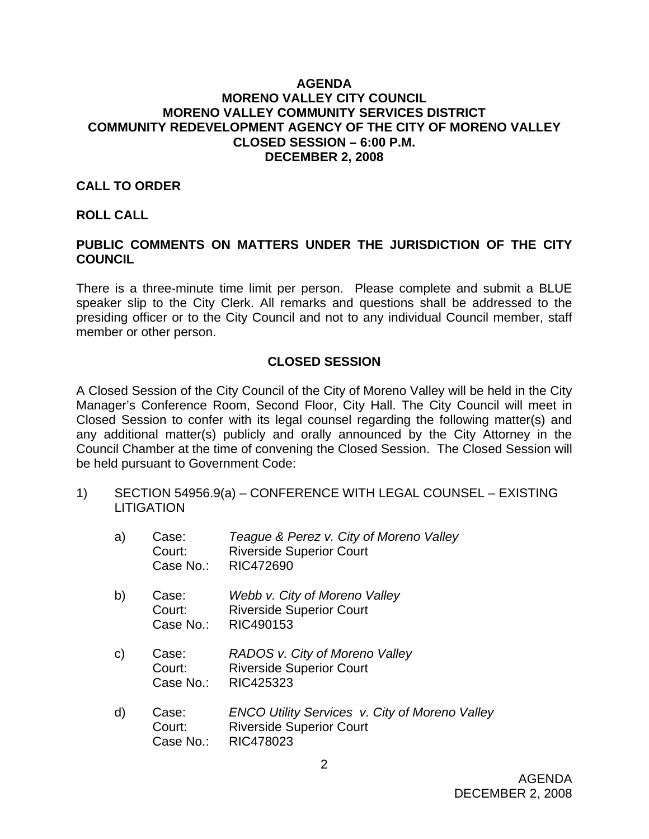#### **AGENDA MORENO VALLEY CITY COUNCIL MORENO VALLEY COMMUNITY SERVICES DISTRICT COMMUNITY REDEVELOPMENT AGENCY OF THE CITY OF MORENO VALLEY CLOSED SESSION – 6:00 P.M. DECEMBER 2, 2008**

#### **CALL TO ORDER**

#### **ROLL CALL**

#### **PUBLIC COMMENTS ON MATTERS UNDER THE JURISDICTION OF THE CITY COUNCIL**

There is a three-minute time limit per person. Please complete and submit a BLUE speaker slip to the City Clerk. All remarks and questions shall be addressed to the presiding officer or to the City Council and not to any individual Council member, staff member or other person.

#### **CLOSED SESSION**

A Closed Session of the City Council of the City of Moreno Valley will be held in the City Manager's Conference Room, Second Floor, City Hall. The City Council will meet in Closed Session to confer with its legal counsel regarding the following matter(s) and any additional matter(s) publicly and orally announced by the City Attorney in the Council Chamber at the time of convening the Closed Session. The Closed Session will be held pursuant to Government Code:

1) SECTION 54956.9(a) – CONFERENCE WITH LEGAL COUNSEL – EXISTING **LITIGATION** 

| a) | Case:<br>Court: | Teague & Perez v. City of Moreno Valley<br><b>Riverside Superior Court</b><br>Case No.: RIC472690 |  |
|----|-----------------|---------------------------------------------------------------------------------------------------|--|
| い  | $\Gamma$        | $11/6bh$ $(6th)$ $6th$ $1/2$                                                                      |  |

- b) Case: *Webb v. City of Moreno Valley* Court: Riverside Superior Court Case No.: RIC490153
- c) Case: *RADOS v. City of Moreno Valley*  Court: Riverside Superior Court Case No.: RIC425323
- d) Case: *ENCO Utility Services v. City of Moreno Valley*  Court: Riverside Superior Court Case No.: RIC478023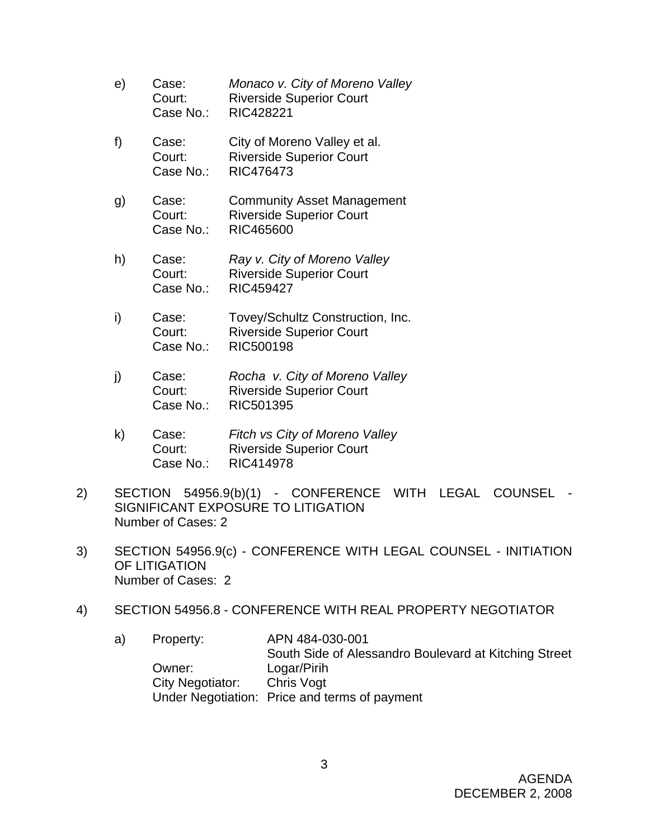- e) Case: *Monaco v. City of Moreno Valley*  Court: Riverside Superior Court Case No.: RIC428221
- f) Case: City of Moreno Valley et al. Court: Riverside Superior Court Case No.: RIC476473
- g) Case: Community Asset Management Court: Riverside Superior Court Case No.: RIC465600
- h) Case: *Ray v. City of Moreno Valley* Court: Riverside Superior Court Case No.: RIC459427
- i) Case: Tovey/Schultz Construction, Inc. Court: Riverside Superior Court Case No.: RIC500198
- j) Case: *Rocha v. City of Moreno Valley*  Court: Riverside Superior Court Case No.: RIC501395
- k) Case: *Fitch vs City of Moreno Valley* Court: Riverside Superior Court Case No.: RIC414978
- 2) SECTION 54956.9(b)(1) CONFERENCE WITH LEGAL COUNSEL SIGNIFICANT EXPOSURE TO LITIGATION Number of Cases: 2
- 3) SECTION 54956.9(c) CONFERENCE WITH LEGAL COUNSEL INITIATION OF LITIGATION Number of Cases: 2
- 4) SECTION 54956.8 CONFERENCE WITH REAL PROPERTY NEGOTIATOR
	- a) Property: APN 484-030-001 South Side of Alessandro Boulevard at Kitching Street Owner: Logar/Pirih City Negotiator: Chris Vogt Under Negotiation: Price and terms of payment